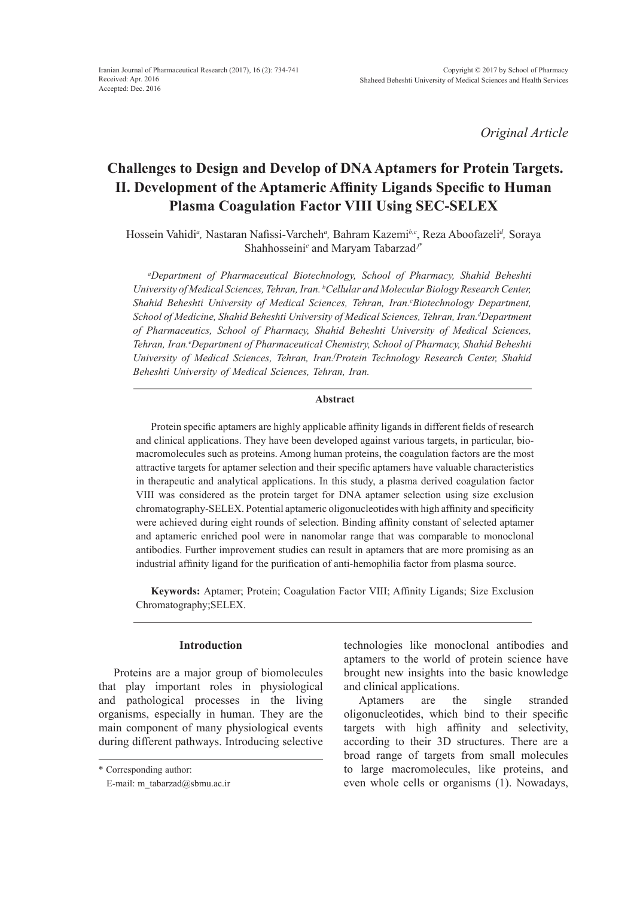*Original Article*

# **Challenges to Design and Develop of DNA Aptamers for Protein Targets. II. Development of the Aptameric Affinity Ligands Specific to Human Plasma Coagulation Factor VIII Using SEC-SELEX**

Hossein Vahidi*<sup>a</sup> ,* Nastaran Nafissi-Varcheh*<sup>a</sup> ,* Bahram Kazemi*b,c*, Reza Aboofazeli*<sup>d</sup> ,* Soraya Shahhosseini*<sup>e</sup>* and Maryam Tabarzad *<sup>f</sup>*\*

*a Department of Pharmaceutical Biotechnology, School of Pharmacy, Shahid Beheshti University of Medical Sciences, Tehran, Iran. b Cellular and Molecular Biology Research Center, Shahid Beheshti University of Medical Sciences, Tehran, Iran.c Biotechnology Department,*   $S$ chool of Medicine, Shahid Beheshti University of Medical Sciences, Tehran, Iran.<sup>d</sup>Department *of Pharmaceutics, School of Pharmacy, Shahid Beheshti University of Medical Sciences,*  Tehran, Iran.<sup>e</sup>Department of Pharmaceutical Chemistry, School of Pharmacy, Shahid Beheshti *University of Medical Sciences, Tehran, Iran.f Protein Technology Research Center, Shahid Beheshti University of Medical Sciences, Tehran, Iran.*

### **Abstract**

Protein specific aptamers are highly applicable affinity ligands in different fields of research and clinical applications. They have been developed against various targets, in particular, biomacromolecules such as proteins. Among human proteins, the coagulation factors are the most attractive targets for aptamer selection and their specific aptamers have valuable characteristics in therapeutic and analytical applications. In this study, a plasma derived coagulation factor VIII was considered as the protein target for DNA aptamer selection using size exclusion chromatography-SELEX. Potential aptameric oligonucleotides with high affinity and specificity were achieved during eight rounds of selection. Binding affinity constant of selected aptamer and aptameric enriched pool were in nanomolar range that was comparable to monoclonal antibodies. Further improvement studies can result in aptamers that are more promising as an industrial affinity ligand for the purification of anti-hemophilia factor from plasma source.

**Keywords:** Aptamer; Protein; Coagulation Factor VIII; Affinity Ligands; Size Exclusion Chromatography;SELEX.

### **Introduction**

Proteins are a major group of biomolecules that play important roles in physiological and pathological processes in the living organisms, especially in human. They are the main component of many physiological events during different pathways. Introducing selective

technologies like monoclonal antibodies and aptamers to the world of protein science have brought new insights into the basic knowledge and clinical applications.

Aptamers are the single stranded oligonucleotides, which bind to their specific targets with high affinity and selectivity, according to their 3D structures. There are a broad range of targets from small molecules to large macromolecules, like proteins, and even whole cells or organisms (1). Nowadays,

<sup>\*</sup> Corresponding author:

E-mail: m\_tabarzad@sbmu.ac.ir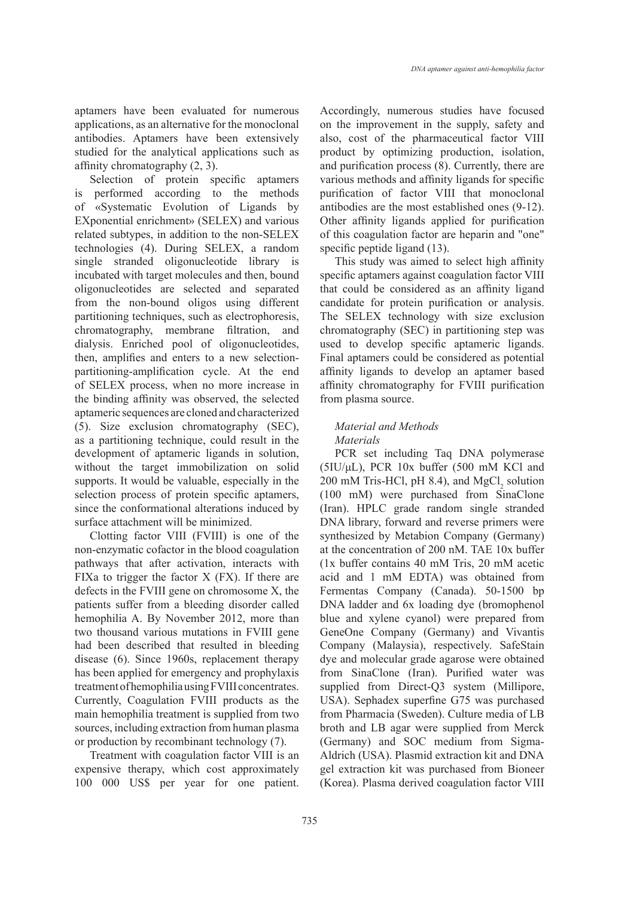aptamers have been evaluated for numerous applications, as an alternative for the monoclonal antibodies. Aptamers have been extensively studied for the analytical applications such as affinity chromatography (2, 3).

Selection of protein specific aptamers is performed according to the methods of «Systematic Evolution of Ligands by EXponential enrichment» (SELEX) and various related subtypes, in addition to the non-SELEX technologies (4). During SELEX, a random single stranded oligonucleotide library is incubated with target molecules and then, bound oligonucleotides are selected and separated from the non-bound oligos using different partitioning techniques, such as electrophoresis, chromatography, membrane filtration, and dialysis. Enriched pool of oligonucleotides, then, amplifies and enters to a new selectionpartitioning-amplification cycle. At the end of SELEX process, when no more increase in the binding affinity was observed, the selected aptameric sequences are cloned and characterized (5). Size exclusion chromatography (SEC), as a partitioning technique, could result in the development of aptameric ligands in solution, without the target immobilization on solid supports. It would be valuable, especially in the selection process of protein specific aptamers, since the conformational alterations induced by surface attachment will be minimized.

Clotting factor VIII (FVIII) is one of the non-enzymatic cofactor in the blood coagulation pathways that after activation, interacts with FIXa to trigger the factor  $X$  (FX). If there are defects in the FVIII gene on chromosome X, the patients suffer from a bleeding disorder called hemophilia A. By November 2012, more than two thousand various mutations in FVIII gene had been described that resulted in bleeding disease (6). Since 1960s, replacement therapy has been applied for emergency and prophylaxis treatment of hemophilia using FVIII concentrates. Currently, Coagulation FVIII products as the main hemophilia treatment is supplied from two sources, including extraction from human plasma or production by recombinant technology (7).

Treatment with coagulation factor VIII is an expensive therapy, which cost approximately 100 000 US\$ per year for one patient. Accordingly, numerous studies have focused on the improvement in the supply, safety and also, cost of the pharmaceutical factor VIII product by optimizing production, isolation, and purification process (8). Currently, there are various methods and affinity ligands for specific purification of factor VIII that monoclonal antibodies are the most established ones (9-12). Other affinity ligands applied for purification of this coagulation factor are heparin and "one" specific peptide ligand  $(13)$ .

This study was aimed to select high affinity specific aptamers against coagulation factor VIII that could be considered as an affinity ligand candidate for protein purification or analysis. The SELEX technology with size exclusion chromatography (SEC) in partitioning step was used to develop specific aptameric ligands. Final aptamers could be considered as potential affinity ligands to develop an aptamer based affinity chromatography for FVIII purification from plasma source.

## *Material and Methods Materials*

PCR set including Taq DNA polymerase (5IU/μL), PCR 10x buffer (500 mM KCl and 200 mM Tris-HCl, pH 8.4), and  $MgCl<sub>2</sub>$  solution (100 mM) were purchased from SinaClone (Iran). HPLC grade random single stranded DNA library, forward and reverse primers were synthesized by Metabion Company (Germany) at the concentration of 200 nM. TAE 10x buffer (1x buffer contains 40 mM Tris, 20 mM acetic acid and 1 mM EDTA) was obtained from Fermentas Company (Canada). 50-1500 bp DNA ladder and 6x loading dye (bromophenol blue and xylene cyanol) were prepared from GeneOne Company (Germany) and Vivantis Company (Malaysia), respectively. SafeStain dye and molecular grade agarose were obtained from SinaClone (Iran). Purified water was supplied from Direct-Q3 system (Millipore, USA). Sephadex superfine G75 was purchased from Pharmacia (Sweden). Culture media of LB broth and LB agar were supplied from Merck (Germany) and SOC medium from Sigma-Aldrich (USA). Plasmid extraction kit and DNA gel extraction kit was purchased from Bioneer (Korea). Plasma derived coagulation factor VIII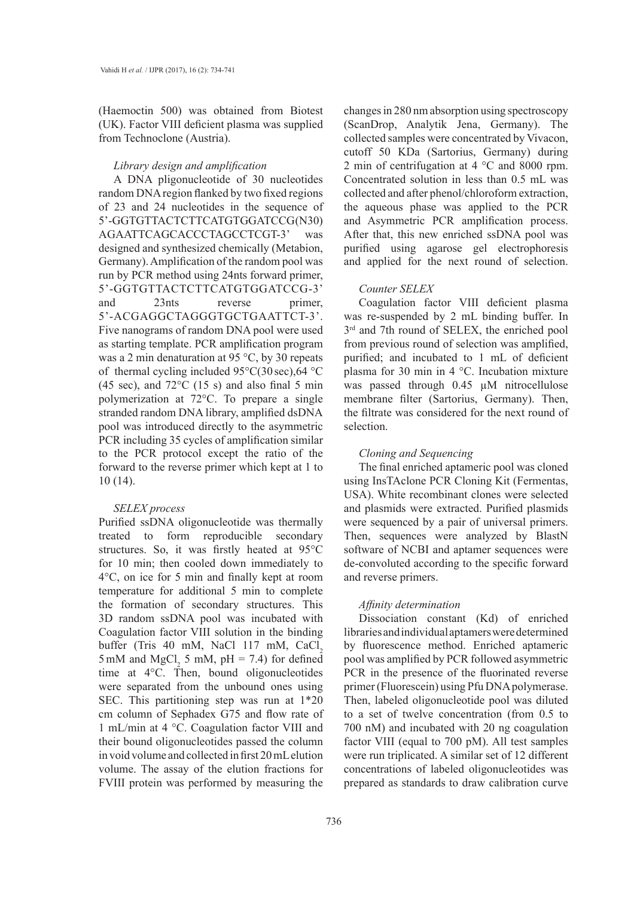(Haemoctin 500) was obtained from Biotest (UK). Factor VIII deficient plasma was supplied from Technoclone (Austria).

### *Library design and amplification*

A DNA pligonucleotide of 30 nucleotides random DNA region flanked by two fixed regions of 23 and 24 nucleotides in the sequence of 5'-GGTGTTACTCTTCATGTGGATCCG (N30) AGAATTCAGCACCCTAGCCTCGT-3' was designed and synthesized chemically (Metabion, Germany). Amplification of the random pool was run by PCR method using 24nts forward primer, 5'-GGTGTTACTCTTCATGTGGATCCG-3' and 23nts reverse primer, 5'-ACGAGGCTAGGGTGCTGAATTCT-3'. Five nanograms of random DNA pool were used as starting template. PCR amplification program was a 2 min denaturation at 95 °C, by 30 repeats of thermal cycling included 95°C(30 sec),64 °C (45 sec), and  $72^{\circ}$ C (15 s) and also final 5 min polymerization at 72°C. To prepare a single stranded random DNA library, amplified dsDNA pool was introduced directly to the asymmetric PCR including 35 cycles of amplification similar to the PCR protocol except the ratio of the forward to the reverse primer which kept at 1 to 10 (14).

### *SELEX process*

Purified ssDNA oligonucleotide was thermally treated to form reproducible secondary structures. So, it was firstly heated at 95°C for 10 min; then cooled down immediately to 4°C, on ice for 5 min and finally kept at room temperature for additional 5 min to complete the formation of secondary structures. This 3D random ssDNA pool was incubated with Coagulation factor VIII solution in the binding buffer (Tris 40 mM, NaCl 117 mM, CaCl, 5 mM and  $MgCl_2$  5 mM, pH = 7.4) for defined time at 4°C. Then, bound oligonucleotides were separated from the unbound ones using SEC. This partitioning step was run at 1\*20 cm column of Sephadex G75 and flow rate of 1 mL/min at 4 °C. Coagulation factor VIII and their bound oligonucleotides passed the column in void volume and collected in first 20 mL elution volume. The assay of the elution fractions for FVIII protein was performed by measuring the

changes in 280 nm absorption using spectroscopy (ScanDrop, Analytik Jena, Germany). The collected samples were concentrated by Vivacon, cutoff 50 KDa (Sartorius, Germany) during 2 min of centrifugation at 4 °C and 8000 rpm. Concentrated solution in less than 0.5 mL was collected and after phenol/chloroform extraction, the aqueous phase was applied to the PCR and Asymmetric PCR amplification process. After that, this new enriched ssDNA pool was purified using agarose gel electrophoresis and applied for the next round of selection.

### *Counter SELEX*

Coagulation factor VIII deficient plasma was re-suspended by 2 mL binding buffer. In  $3<sup>rd</sup>$  and 7th round of SELEX, the enriched pool from previous round of selection was amplified, purified; and incubated to 1 mL of deficient plasma for 30 min in 4 °C. Incubation mixture was passed through 0.45  $\mu$ M nitrocellulose membrane filter (Sartorius, Germany). Then, the filtrate was considered for the next round of selection.

### *Cloning and Sequencing*

The final enriched aptameric pool was cloned using InsTAclone PCR Cloning Kit (Fermentas, USA). White recombinant clones were selected and plasmids were extracted. Purified plasmids were sequenced by a pair of universal primers. Then, sequences were analyzed by BlastN software of NCBI and aptamer sequences were de-convoluted according to the specific forward and reverse primers.

### *Affinity determination*

Dissociation constant (Kd) of enriched libraries and individual aptamers were determined by fluorescence method. Enriched aptameric pool was amplified by PCR followed asymmetric PCR in the presence of the fluorinated reverse primer (Fluorescein) using Pfu DNA polymerase. Then, labeled oligonucleotide pool was diluted to a set of twelve concentration (from 0.5 to 700 nM) and incubated with 20 ng coagulation factor VIII (equal to 700 pM). All test samples were run triplicated. A similar set of 12 different concentrations of labeled oligonucleotides was prepared as standards to draw calibration curve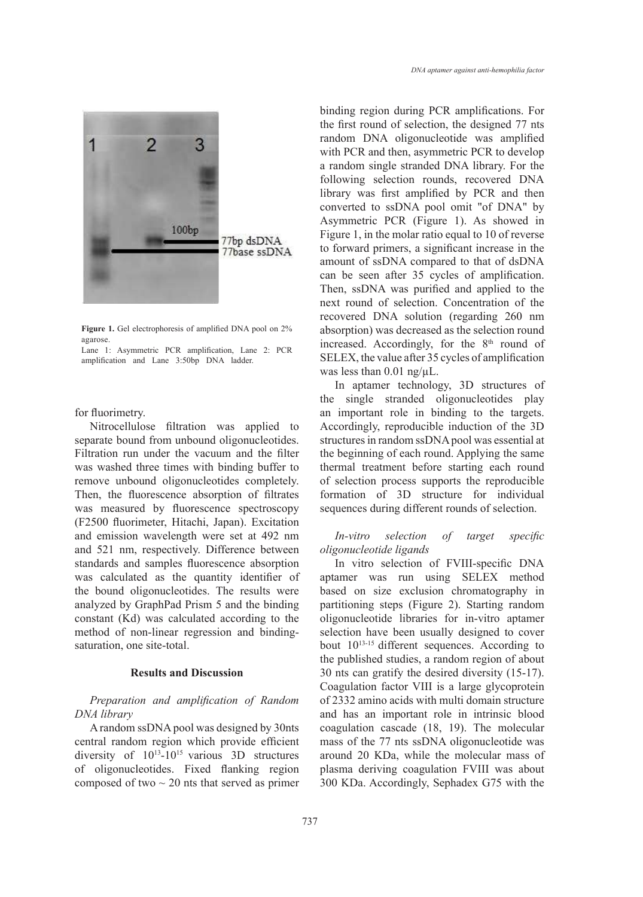

Figure 1. Gel electrophoresis of amplified DNA pool on 2% agarose.

Lane 1: Asymmetric PCR amplification, Lane 2: PCR amplification and Lane 3:50bp DNA ladder.

for fluorimetry.

Nitrocellulose filtration was applied to separate bound from unbound oligonucleotides. Filtration run under the vacuum and the filter was washed three times with binding buffer to remove unbound oligonucleotides completely. Then, the fluorescence absorption of filtrates was measured by fluorescence spectroscopy (F2500 fluorimeter, Hitachi, Japan). Excitation and emission wavelength were set at 492 nm and 521 nm, respectively. Difference between standards and samples fluorescence absorption was calculated as the quantity identifier of the bound oligonucleotides. The results were analyzed by GraphPad Prism 5 and the binding constant (Kd) was calculated according to the method of non-linear regression and bindingsaturation, one site-total.

### **Results and Discussion**

*Preparation and amplification of Random DNA library* 

A random ssDNA pool was designed by 30nts central random region which provide efficient diversity of  $10^{13}$ -10<sup>15</sup> various 3D structures of oligonucleotides. Fixed flanking region composed of two  $\sim$  20 nts that served as primer binding region during PCR amplifications. For the first round of selection, the designed 77 nts random DNA oligonucleotide was amplified with PCR and then, asymmetric PCR to develop a random single stranded DNA library. For the following selection rounds, recovered DNA library was first amplified by PCR and then converted to ssDNA pool omit "of DNA" by Asymmetric PCR (Figure 1). As showed in Figure 1, in the molar ratio equal to 10 of reverse to forward primers, a significant increase in the amount of ssDNA compared to that of dsDNA can be seen after 35 cycles of amplification. Then, ssDNA was purified and applied to the next round of selection. Concentration of the recovered DNA solution (regarding 260 nm absorption) was decreased as the selection round increased. Accordingly, for the  $8<sup>th</sup>$  round of SELEX, the value after 35 cycles of amplification was less than  $0.01$  ng/ $\mu$ L.

In aptamer technology, 3D structures of the single stranded oligonucleotides play an important role in binding to the targets. Accordingly, reproducible induction of the 3D structures in random ssDNA pool was essential at the beginning of each round. Applying the same thermal treatment before starting each round of selection process supports the reproducible formation of 3D structure for individual sequences during different rounds of selection.

### *In-vitro selection of target specific oligonucleotide ligands*

In vitro selection of FVIII-specific DNA aptamer was run using SELEX method based on size exclusion chromatography in partitioning steps (Figure 2). Starting random oligonucleotide libraries for in-vitro aptamer selection have been usually designed to cover bout 1013-15 different sequences. According to the published studies, a random region of about 30 nts can gratify the desired diversity (15-17). Coagulation factor VIII is a large glycoprotein of 2332 amino acids with multi domain structure and has an important role in intrinsic blood coagulation cascade (18, 19). The molecular mass of the 77 nts ssDNA oligonucleotide was around 20 KDa, while the molecular mass of plasma deriving coagulation FVIII was about 300 KDa. Accordingly, Sephadex G75 with the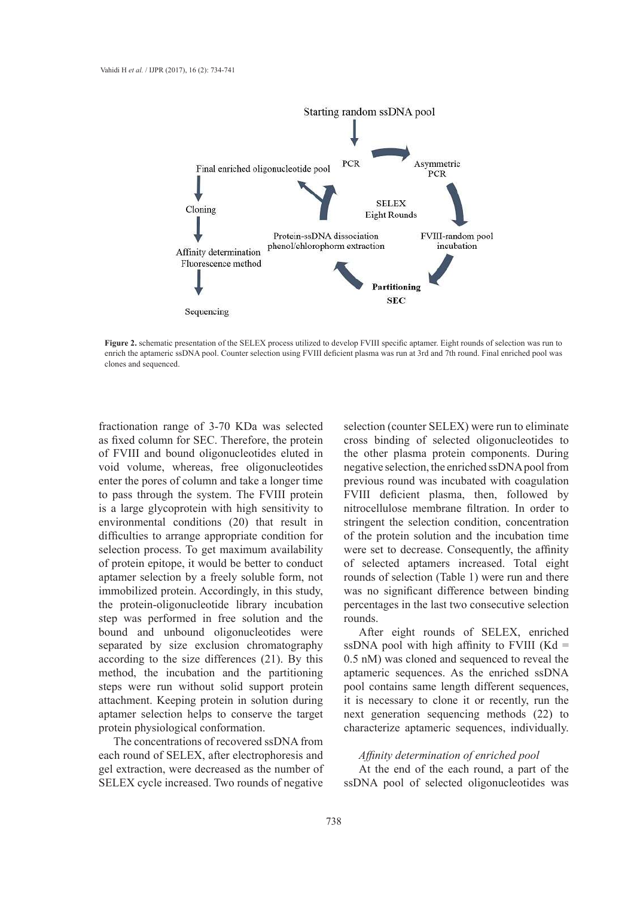

**Figure 2.** schematic presentation of the SELEX process utilized to develop FVIII specific aptamer. Eight rounds of selection was run to enrich the aptameric ssDNA pool. Counter selection using FVIII deficient plasma was run at 3rd and 7th round. Final enriched pool was run at 3rd and 7th round. Final enriched pool was clones and sequenced.

fractionation range of 3-70 KDa was selected as fixed column for SEC. Therefore, the protein of FVIII and bound oligonucleotides eluted in void volume, whereas, free oligonucleotides enter the pores of column and take a longer time to pass through the system. The FVIII protein is a large glycoprotein with high sensitivity to environmental conditions (20) that result in difficulties to arrange appropriate condition for selection process. To get maximum availability of protein epitope, it would be better to conduct aptamer selection by a freely soluble form, not immobilized protein. Accordingly, in this study, the protein-oligonucleotide library incubation step was performed in free solution and the bound and unbound oligonucleotides were separated by size exclusion chromatography according to the size differences (21). By this method, the incubation and the partitioning steps were run without solid support protein attachment. Keeping protein in solution during aptamer selection helps to conserve the target protein physiological conformation.

The concentrations of recovered ssDNA from each round of SELEX, after electrophoresis and gel extraction, were decreased as the number of SELEX cycle increased. Two rounds of negative

selection (counter SELEX) were run to eliminate cross binding of selected oligonucleotides to the other plasma protein components. During negative selection, the enriched ssDNA pool from previous round was incubated with coagulation FVIII deficient plasma, then, followed by nitrocellulose membrane filtration. In order to stringent the selection condition, concentration of the protein solution and the incubation time were set to decrease. Consequently, the affinity of selected aptamers increased. Total eight rounds of selection (Table 1) were run and there was no significant difference between binding percentages in the last two consecutive selection rounds.

After eight rounds of SELEX, enriched ssDNA pool with high affinity to FVIII ( $Kd =$ 0.5 nM) was cloned and sequenced to reveal the aptameric sequences. As the enriched ssDNA pool contains same length different sequences, it is necessary to clone it or recently, run the next generation sequencing methods (22) to characterize aptameric sequences, individually.

#### *Affinity determination of enriched pool*

At the end of the each round, a part of the ssDNA pool of selected oligonucleotides was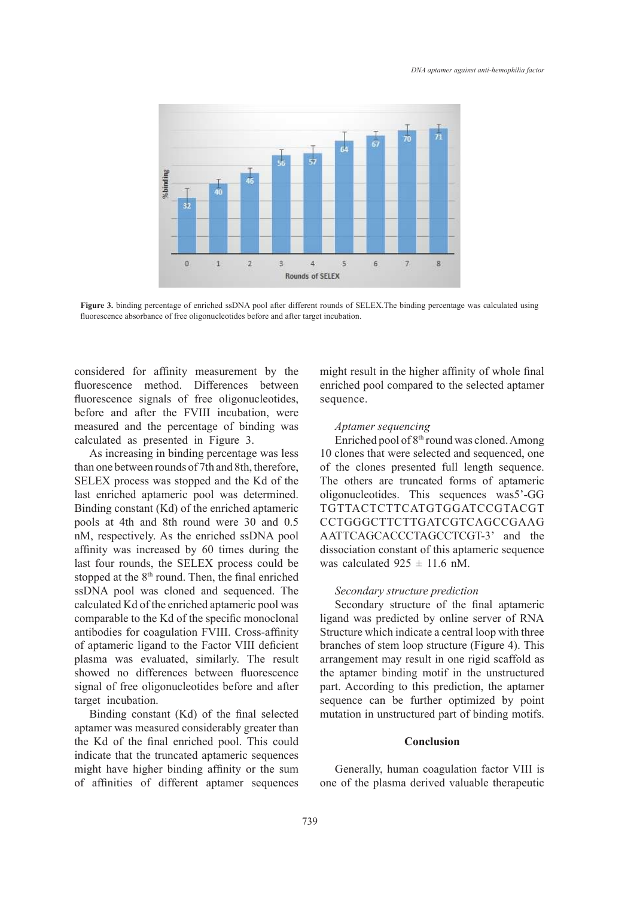

Figure 3. binding percentage of enriched ssDNA pool after different rounds of SELEX.The binding percentage was calculated using fluorescence absorbance of free oligonucleotides before and after target incubation.

considered for affinity measurement by the fluorescence method. Differences between fluorescence signals of free oligonucleotides, before and after the FVIII incubation, were measured and the percentage of binding was calculated as presented in Figure 3.

As increasing in binding percentage was less than one between rounds of 7th and 8th, therefore, SELEX process was stopped and the Kd of the last enriched aptameric pool was determined. Binding constant (Kd) of the enriched aptameric pools at 4th and 8th round were 30 and 0.5 nM, respectively. As the enriched ssDNA pool affinity was increased by 60 times during the last four rounds, the SELEX process could be stopped at the  $8<sup>th</sup>$  round. Then, the final enriched ssDNA pool was cloned and sequenced. The calculated Kd of the enriched aptameric pool was comparable to the Kd of the specific monoclonal antibodies for coagulation FVIII. Cross-affinity of aptameric ligand to the Factor VIII deficient plasma was evaluated, similarly. The result showed no differences between fluorescence signal of free oligonucleotides before and after target incubation.

Binding constant (Kd) of the final selected aptamer was measured considerably greater than the Kd of the final enriched pool. This could indicate that the truncated aptameric sequences might have higher binding affinity or the sum of affinities of different aptamer sequences might result in the higher affinity of whole final enriched pool compared to the selected aptamer sequence.

### *Aptamer sequencing*

Enriched pool of 8<sup>th</sup> round was cloned. Among 10 clones that were selected and sequenced, one of the clones presented full length sequence. The others are truncated forms of aptameric oligonucleotides. This sequences was5'-GG TGTTACTCTTCATGTGGATCCGTACGT CCTGGGCTTCTTGATCGTCAGCCGAAG AATTCAGCACCCTAGCCTCGT-3' and the dissociation constant of this aptameric sequence was calculated  $925 \pm 11.6$  nM.

### *Secondary structure prediction*

Secondary structure of the final aptameric ligand was predicted by online server of RNA Structure which indicate a central loop with three branches of stem loop structure (Figure 4). This arrangement may result in one rigid scaffold as the aptamer binding motif in the unstructured part. According to this prediction, the aptamer sequence can be further optimized by point mutation in unstructured part of binding motifs.

### **Conclusion**

Generally, human coagulation factor VIII is one of the plasma derived valuable therapeutic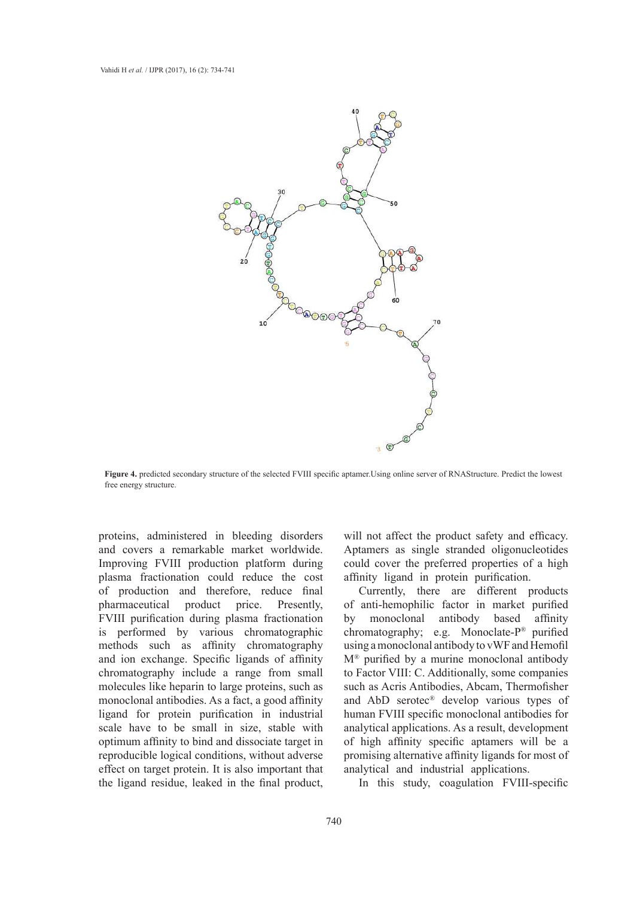

**Figure 4.** predicted secondary structure of the selected FVIII specific aptamer. Using online server of RNAStructure. Predict the lowest free experiments of the lowest free energy structure.

proteins, administered in bleeding disorders and covers a remarkable market worldwide. Improving FVIII production platform during plasma fractionation could reduce the cost of production and therefore, reduce final pharmaceutical product price. Presently, FVIII purification during plasma fractionation is performed by various chromatographic methods such as affinity chromatography and ion exchange. Specific ligands of affinity chromatography include a range from small molecules like heparin to large proteins, such as monoclonal antibodies. As a fact, a good affinity ligand for protein purification in industrial scale have to be small in size, stable with optimum affinity to bind and dissociate target in reproducible logical conditions, without adverse effect on target protein. It is also important that the ligand residue, leaked in the final product, will not affect the product safety and efficacy. Aptamers as single stranded oligonucleotides could cover the preferred properties of a high affinity ligand in protein purification.

Currently, there are different products of anti-hemophilic factor in market purified by monoclonal antibody based affinity chromatography; e.g. Monoclate-P® purified using a monoclonal antibody to vWF and Hemofil M® purified by a murine monoclonal antibody to Factor VIII: C. Additionally, some companies such as Acris Antibodies, Abcam, Thermofisher and AbD serotec® develop various types of human FVIII specific monoclonal antibodies for analytical applications. As a result, development of high affinity specific aptamers will be a promising alternative affinity ligands for most of analytical and industrial applications.

In this study, coagulation FVIII-specific